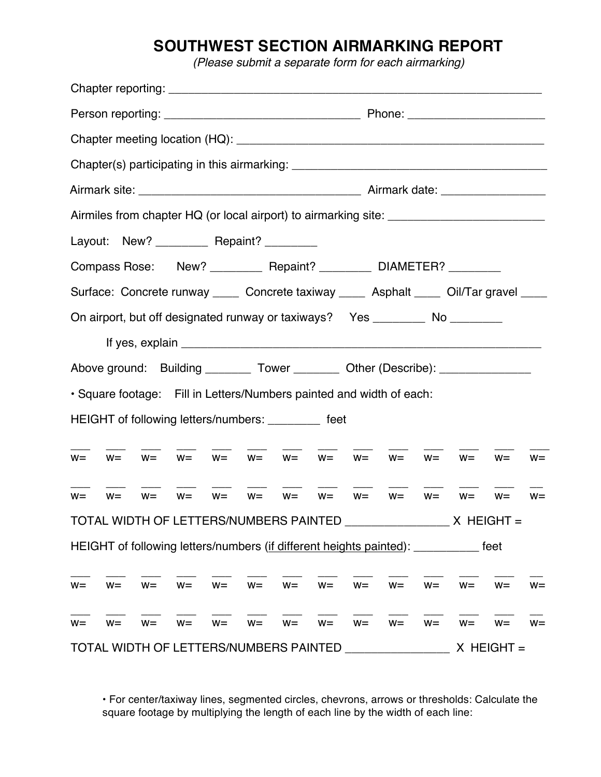## **SOUTHWEST SECTION AIRMARKING REPORT**

*(Please submit a separate form for each airmarking)*

|                                                                                     |       |       |       |                                                                      |       |       |               |       |              |       | Chapter(s) participating in this airmarking: ___________________________________       |       |       |  |
|-------------------------------------------------------------------------------------|-------|-------|-------|----------------------------------------------------------------------|-------|-------|---------------|-------|--------------|-------|----------------------------------------------------------------------------------------|-------|-------|--|
|                                                                                     |       |       |       |                                                                      |       |       |               |       |              |       |                                                                                        |       |       |  |
|                                                                                     |       |       |       |                                                                      |       |       |               |       |              |       |                                                                                        |       |       |  |
|                                                                                     |       |       |       | Layout: New? _____________ Repaint? ___________                      |       |       |               |       |              |       |                                                                                        |       |       |  |
| Compass Rose: New? ___________ Repaint? ___________ DIAMETER? _________             |       |       |       |                                                                      |       |       |               |       |              |       |                                                                                        |       |       |  |
|                                                                                     |       |       |       |                                                                      |       |       |               |       |              |       | Surface: Concrete runway _____ Concrete taxiway _____ Asphalt ____ Oil/Tar gravel ____ |       |       |  |
|                                                                                     |       |       |       |                                                                      |       |       |               |       |              |       | On airport, but off designated runway or taxiways? Yes __________ No _________         |       |       |  |
|                                                                                     |       |       |       |                                                                      |       |       |               |       |              |       |                                                                                        |       |       |  |
|                                                                                     |       |       |       |                                                                      |       |       |               |       |              |       | Above ground: Building _________ Tower _________ Other (Describe): _____________       |       |       |  |
|                                                                                     |       |       |       | · Square footage: Fill in Letters/Numbers painted and width of each: |       |       |               |       |              |       |                                                                                        |       |       |  |
|                                                                                     |       |       |       | HEIGHT of following letters/numbers: ________ feet                   |       |       |               |       |              |       |                                                                                        |       |       |  |
|                                                                                     |       |       |       |                                                                      |       |       |               |       |              |       |                                                                                        |       |       |  |
| $W =$                                                                               | $W =$ | $W =$ |       | $W=$ $W=$ $W=$ $W=$ $W=$ $W=$                                        |       |       |               |       | $W =$        |       | $W = W =$                                                                              | $W =$ | $W =$ |  |
| $W =$                                                                               | $W =$ | $W =$ |       | $W = W =$                                                            |       |       | $W = W = W =$ | $W =$ | $W =$        |       | $W = W = W =$                                                                          |       | $W =$ |  |
|                                                                                     |       |       |       |                                                                      |       |       |               |       |              |       |                                                                                        |       |       |  |
| HEIGHT of following letters/numbers (if different heights painted): __________ feet |       |       |       |                                                                      |       |       |               |       |              |       |                                                                                        |       |       |  |
|                                                                                     |       |       |       |                                                                      |       |       |               |       |              |       |                                                                                        |       |       |  |
| $W =$                                                                               | $W =$ | $W =$ | $W =$ | $W =$                                                                | $W =$ | $W =$ | $W =$         | $W =$ | $W =$        | $W =$ | $W =$                                                                                  | $W =$ | $W =$ |  |
| $W =$                                                                               | $W =$ | $W =$ | $W =$ | $W =$                                                                | $W =$ | $W =$ | $W =$         | $W =$ | $W =$        | $W =$ | $W =$                                                                                  | $W =$ | $W =$ |  |
| TOTAL WIDTH OF LETTERS/NUMBERS PAINTED ___________                                  |       |       |       |                                                                      |       |       |               |       | $X$ HEIGHT = |       |                                                                                        |       |       |  |

• For center/taxiway lines, segmented circles, chevrons, arrows or thresholds: Calculate the square footage by multiplying the length of each line by the width of each line: